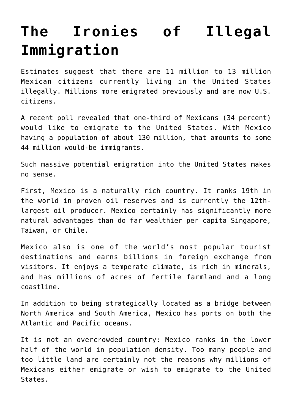## **[The Ironies of Illegal](https://intellectualtakeout.org/2019/01/the-ironies-of-illegal-immigration/) [Immigration](https://intellectualtakeout.org/2019/01/the-ironies-of-illegal-immigration/)**

Estimates suggest that there are 11 million to 13 million Mexican citizens currently living in the United States illegally. Millions more emigrated previously and are now U.S. citizens.

A recent poll revealed that one-third of Mexicans (34 percent) would like to emigrate to the United States. With Mexico having a population of about 130 million, that amounts to some 44 million would-be immigrants.

Such massive potential emigration into the United States makes no sense.

First, Mexico is a naturally rich country. It ranks 19th in the world in proven oil reserves and is currently the 12thlargest oil producer. Mexico certainly has significantly more natural advantages than do far wealthier per capita Singapore, Taiwan, or Chile.

Mexico also is one of the world's most popular tourist destinations and earns billions in foreign exchange from visitors. It enjoys a temperate climate, is rich in minerals, and has millions of acres of fertile farmland and a long coastline.

In addition to being strategically located as a bridge between North America and South America, Mexico has ports on both the Atlantic and Pacific oceans.

It is not an overcrowded country: Mexico ranks in the lower half of the world in population density. Too many people and too little land are certainly not the reasons why millions of Mexicans either emigrate or wish to emigrate to the United States.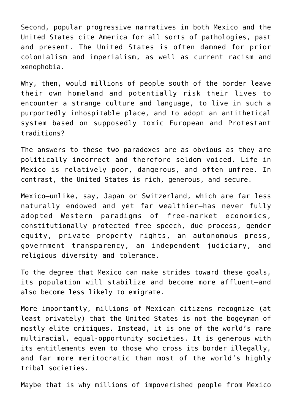Second, popular progressive narratives in both Mexico and the United States cite America for all sorts of pathologies, past and present. The United States is often damned for prior colonialism and imperialism, as well as current racism and xenophobia.

Why, then, would millions of people south of the border leave their own homeland and potentially risk their lives to encounter a strange culture and language, to live in such a purportedly inhospitable place, and to adopt an antithetical system based on supposedly toxic European and Protestant traditions?

The answers to these two paradoxes are as obvious as they are politically incorrect and therefore seldom voiced. Life in Mexico is relatively poor, dangerous, and often unfree. In contrast, the United States is rich, generous, and secure.

Mexico—unlike, say, Japan or Switzerland, which are far less naturally endowed and yet far wealthier—has never fully adopted Western paradigms of free-market economics, constitutionally protected free speech, due process, gender equity, private property rights, an autonomous press, government transparency, an independent judiciary, and religious diversity and tolerance.

To the degree that Mexico can make strides toward these goals, its population will stabilize and become more affluent—and also become less likely to emigrate.

More importantly, millions of Mexican citizens recognize (at least privately) that the United States is not the bogeyman of mostly elite critiques. Instead, it is one of the world's rare multiracial, equal-opportunity societies. It is generous with its entitlements even to those who cross its border illegally, and far more meritocratic than most of the world's highly tribal societies.

Maybe that is why millions of impoverished people from Mexico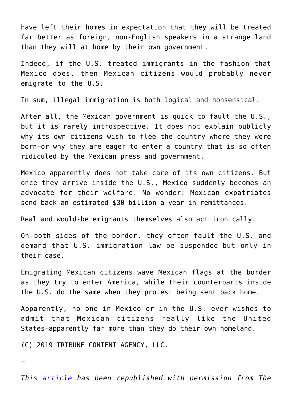have left their homes in expectation that they will be treated far better as foreign, non-English speakers in a strange land than they will at home by their own government.

Indeed, if the U.S. treated immigrants in the fashion that Mexico does, then Mexican citizens would probably never emigrate to the U.S.

In sum, illegal immigration is both logical and nonsensical.

After all, the Mexican government is quick to fault the U.S., but it is rarely introspective. It does not explain publicly why its own citizens wish to flee the country where they were born—or why they are eager to enter a country that is so often ridiculed by the Mexican press and government.

Mexico apparently does not take care of its own citizens. But once they arrive inside the U.S., Mexico suddenly becomes an advocate for their welfare. No wonder: Mexican expatriates send back an estimated \$30 billion a year in remittances.

Real and would-be emigrants themselves also act ironically.

On both sides of the border, they often fault the U.S. and demand that U.S. immigration law be suspended—but only in their case.

Emigrating Mexican citizens wave Mexican flags at the border as they try to enter America, while their counterparts inside the U.S. do the same when they protest being sent back home.

Apparently, no one in Mexico or in the U.S. ever wishes to admit that Mexican citizens really like the United States—apparently far more than they do their own homeland.

(C) 2019 TRIBUNE CONTENT AGENCY, LLC.

—

*This [article](https://www.dailysignal.com/2019/01/10/the-ironies-of-illegal-immigration/) has been republished with permission from The*